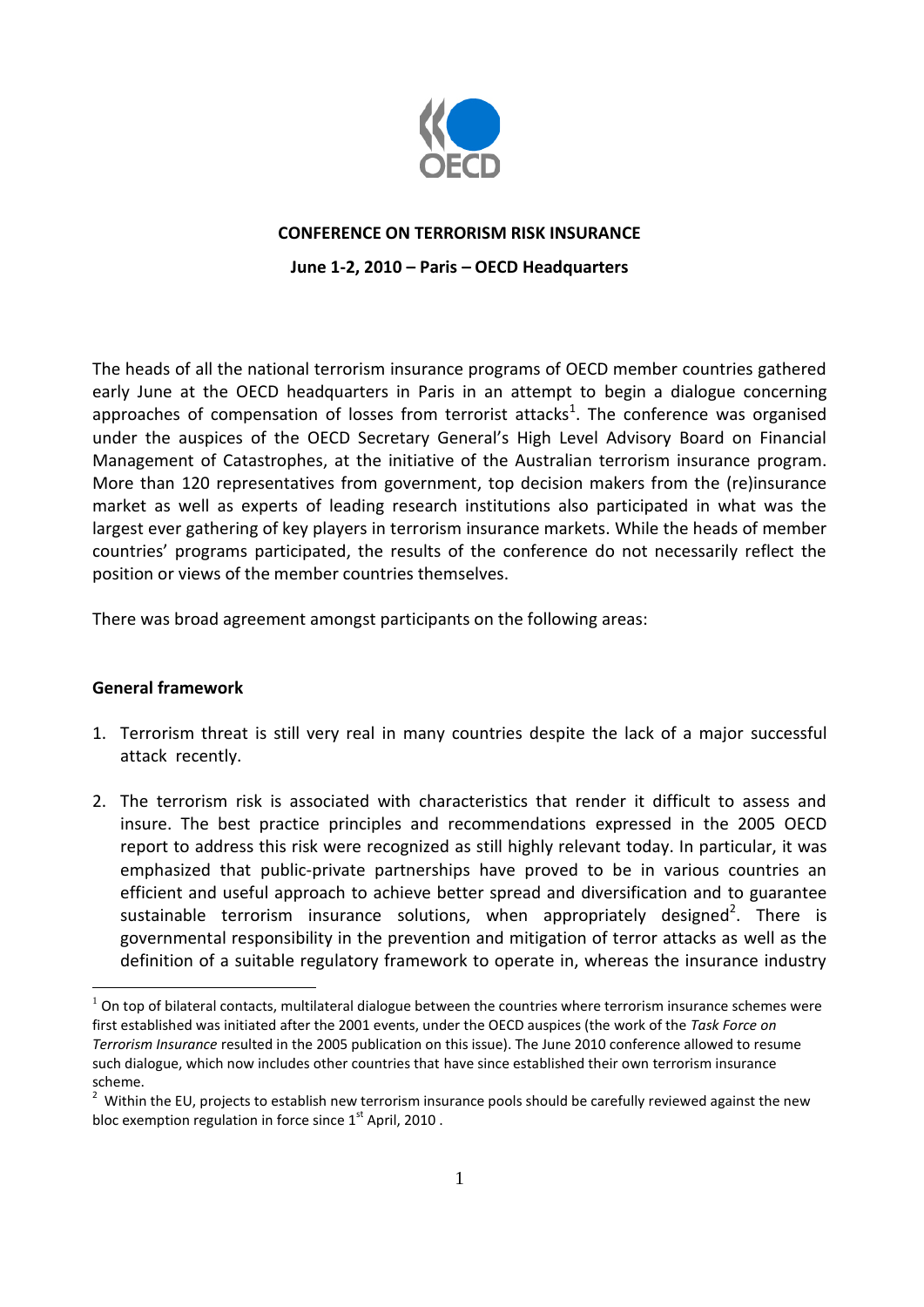

## **CONFERENCE ON TERRORISM RISK INSURANCE**

**June 1-2, 2010 – Paris – OECD Headquarters**

The heads of all the national terrorism insurance programs of OECD member countries gathered early June at the OECD headquarters in Paris in an attempt to begin a dialogue concerning approaches of compensation of losses from terrorist attacks<sup>1</sup>. The conference was organised under the auspices of the OECD Secretary General's High Level Advisory Board on Financial Management of Catastrophes, at the initiative of the Australian terrorism insurance program. More than 120 representatives from government, top decision makers from the (re)insurance market as well as experts of leading research institutions also participated in what was the largest ever gathering of key players in terrorism insurance markets. While the heads of member countries' programs participated, the results of the conference do not necessarily reflect the position or views of the member countries themselves.

There was broad agreement amongst participants on the following areas:

## **General framework**

 $\overline{a}$ 

- 1. Terrorism threat is still very real in many countries despite the lack of a major successful attack recently.
- 2. The terrorism risk is associated with characteristics that render it difficult to assess and insure. The best practice principles and recommendations expressed in the 2005 OECD report to address this risk were recognized as still highly relevant today. In particular, it was emphasized that public-private partnerships have proved to be in various countries an efficient and useful approach to achieve better spread and diversification and to guarantee sustainable terrorism insurance solutions, when appropriately designed<sup>2</sup>. There is governmental responsibility in the prevention and mitigation of terror attacks as well as the definition of a suitable regulatory framework to operate in, whereas the insurance industry

 $1$  On top of bilateral contacts, multilateral dialogue between the countries where terrorism insurance schemes were first established was initiated after the 2001 events, under the OECD auspices (the work of the *Task Force on Terrorism Insurance* resulted in the 2005 publication on this issue). The June 2010 conference allowed to resume such dialogue, which now includes other countries that have since established their own terrorism insurance scheme.

 $2$  Within the EU, projects to establish new terrorism insurance pools should be carefully reviewed against the new bloc exemption regulation in force since  $1<sup>st</sup>$  April, 2010.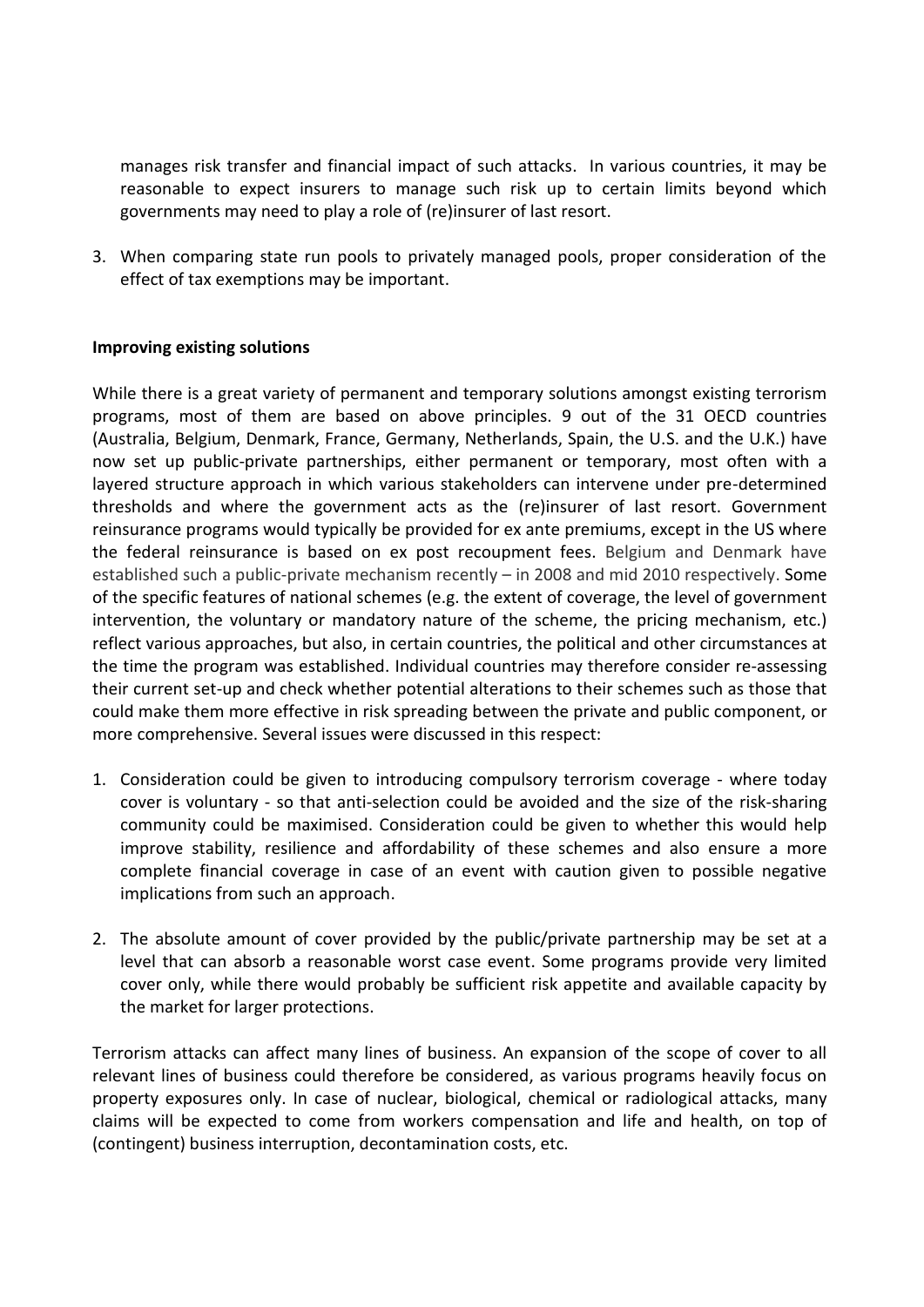manages risk transfer and financial impact of such attacks. In various countries, it may be reasonable to expect insurers to manage such risk up to certain limits beyond which governments may need to play a role of (re)insurer of last resort.

3. When comparing state run pools to privately managed pools, proper consideration of the effect of tax exemptions may be important.

## **Improving existing solutions**

While there is a great variety of permanent and temporary solutions amongst existing terrorism programs, most of them are based on above principles. 9 out of the 31 OECD countries (Australia, Belgium, Denmark, France, Germany, Netherlands, Spain, the U.S. and the U.K.) have now set up public-private partnerships, either permanent or temporary, most often with a layered structure approach in which various stakeholders can intervene under pre-determined thresholds and where the government acts as the (re)insurer of last resort. Government reinsurance programs would typically be provided for ex ante premiums, except in the US where the federal reinsurance is based on ex post recoupment fees. Belgium and Denmark have established such a public-private mechanism recently – in 2008 and mid 2010 respectively. Some of the specific features of national schemes (e.g. the extent of coverage, the level of government intervention, the voluntary or mandatory nature of the scheme, the pricing mechanism, etc.) reflect various approaches, but also, in certain countries, the political and other circumstances at the time the program was established. Individual countries may therefore consider re-assessing their current set-up and check whether potential alterations to their schemes such as those that could make them more effective in risk spreading between the private and public component, or more comprehensive. Several issues were discussed in this respect:

- 1. Consideration could be given to introducing compulsory terrorism coverage where today cover is voluntary - so that anti-selection could be avoided and the size of the risk-sharing community could be maximised. Consideration could be given to whether this would help improve stability, resilience and affordability of these schemes and also ensure a more complete financial coverage in case of an event with caution given to possible negative implications from such an approach.
- 2. The absolute amount of cover provided by the public/private partnership may be set at a level that can absorb a reasonable worst case event. Some programs provide very limited cover only, while there would probably be sufficient risk appetite and available capacity by the market for larger protections.

Terrorism attacks can affect many lines of business. An expansion of the scope of cover to all relevant lines of business could therefore be considered, as various programs heavily focus on property exposures only. In case of nuclear, biological, chemical or radiological attacks, many claims will be expected to come from workers compensation and life and health, on top of (contingent) business interruption, decontamination costs, etc.